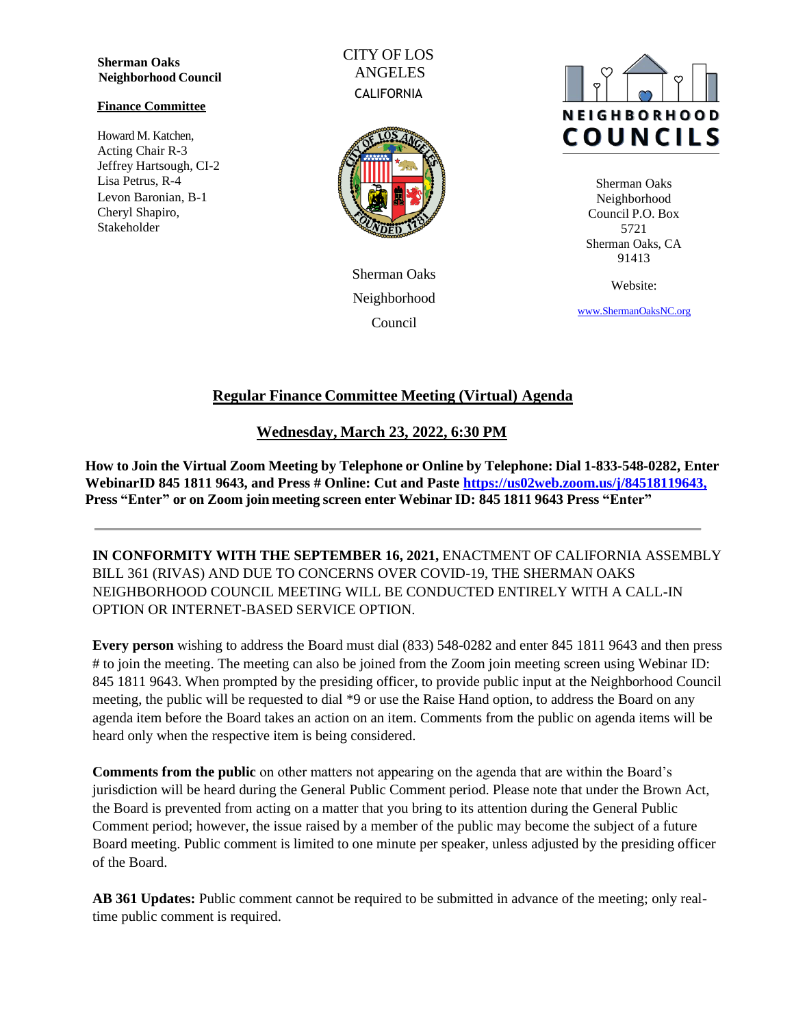**Sherman Oaks Neighborhood Council**

#### **Finance Committee**

Howard M. Katchen, Acting Chair R-3 Jeffrey Hartsough, CI-2 Lisa Petrus, R-4 Levon Baronian, B-1 Cheryl Shapiro, Stakeholder

CITY OF LOS ANGELES **CALIFORNIA** 



Sherman Oaks Neighborhood Council



Sherman Oaks Neighborhood Council P.O. Box 5721 Sherman Oaks, CA 91413

Website:

[www.ShermanOaksNC.](http://www.shermanoaksnc./)[org](http://www.shermanoaksnc.org/)

# **Regular Finance Committee Meeting (Virtual) Agenda**

# **Wednesday, March 23, 2022, 6:30 PM**

**How to Join the Virtual Zoom Meeting by Telephone or Online by Telephone: Dial 1-833-548-0282, Enter WebinarID 845 1811 9643, and Press # Online: Cut and Paste [https://us02web.zoom.us/j/84518119643,](https://us02web.zoom.us/j/84518119643) Press "Enter" or on Zoom join meeting screen enter Webinar ID: 845 1811 9643 Press "Enter"**

**IN CONFORMITY WITH THE SEPTEMBER 16, 2021,** ENACTMENT OF CALIFORNIA ASSEMBLY BILL 361 (RIVAS) AND DUE TO CONCERNS OVER COVID-19, THE SHERMAN OAKS NEIGHBORHOOD COUNCIL MEETING WILL BE CONDUCTED ENTIRELY WITH A CALL-IN OPTION OR INTERNET-BASED SERVICE OPTION.

**Every person** wishing to address the Board must dial (833) 548-0282 and enter 845 1811 9643 and then press # to join the meeting. The meeting can also be joined from the Zoom join meeting screen using Webinar ID: 845 1811 9643. When prompted by the presiding officer, to provide public input at the Neighborhood Council meeting, the public will be requested to dial \*9 or use the Raise Hand option, to address the Board on any agenda item before the Board takes an action on an item. Comments from the public on agenda items will be heard only when the respective item is being considered.

**Comments from the public** on other matters not appearing on the agenda that are within the Board's jurisdiction will be heard during the General Public Comment period. Please note that under the Brown Act, the Board is prevented from acting on a matter that you bring to its attention during the General Public Comment period; however, the issue raised by a member of the public may become the subject of a future Board meeting. Public comment is limited to one minute per speaker, unless adjusted by the presiding officer of the Board.

**AB 361 Updates:** Public comment cannot be required to be submitted in advance of the meeting; only realtime public comment is required.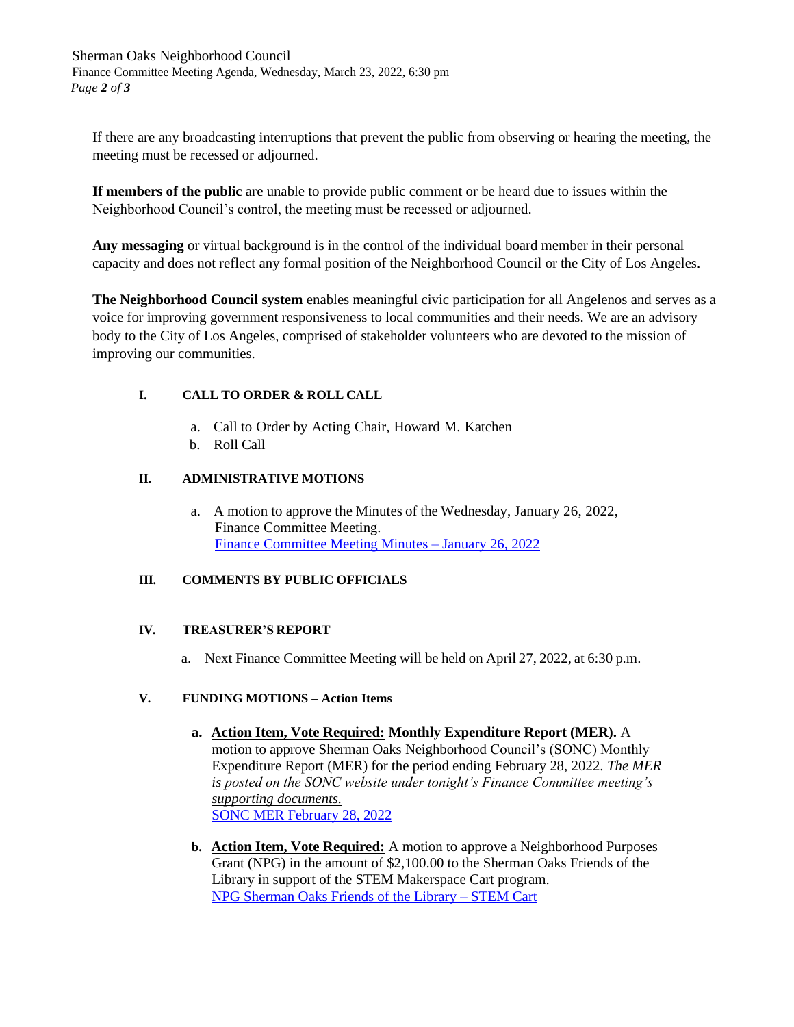Sherman Oaks Neighborhood Council Finance Committee Meeting Agenda, Wednesday, March 23, 2022, 6:30 pm *Page 2 of 3*

If there are any broadcasting interruptions that prevent the public from observing or hearing the meeting, the meeting must be recessed or adjourned.

**If members of the public** are unable to provide public comment or be heard due to issues within the Neighborhood Council's control, the meeting must be recessed or adjourned.

**Any messaging** or virtual background is in the control of the individual board member in their personal capacity and does not reflect any formal position of the Neighborhood Council or the City of Los Angeles.

**The Neighborhood Council system** enables meaningful civic participation for all Angelenos and serves as a voice for improving government responsiveness to local communities and their needs. We are an advisory body to the City of Los Angeles, comprised of stakeholder volunteers who are devoted to the mission of improving our communities.

## **I. CALL TO ORDER & ROLL CALL**

- a. Call to Order by Acting Chair, Howard M. Katchen
- b. Roll Call

## **II. ADMINISTRATIVE MOTIONS**

a. A motion to approve the Minutes of the Wednesday, January 26, 2022, Finance Committee Meeting. Finance Committee Meeting Minutes – [January 26,](https://www.shermanoaksnc.org/ncfiles/viewCommitteeFile/29099) 2022

## **III. COMMENTS BY PUBLIC OFFICIALS**

## **IV. TREASURER'S REPORT**

a. Next Finance Committee Meeting will be held on April 27, 2022, at 6:30 p.m.

## **V. FUNDING MOTIONS – Action Items**

- **a. Action Item, Vote Required: Monthly Expenditure Report (MER).** A motion to approve Sherman Oaks Neighborhood Council's (SONC) Monthly Expenditure Report (MER) for the period ending February 28, 2022. *The MER is posted on the SONC website under tonight's Finance Committee meeting's supporting documents.* SONC MER [February](https://www.shermanoaksnc.org/ncfiles/viewCommitteeFile/29100) 28, 2022
- **b. Action Item, Vote Required:** A motion to approve a Neighborhood Purposes Grant (NPG) in the amount of \$2,100.00 to the Sherman Oaks Friends of the Library in support of the STEM Makerspace Cart program. [NPG Sherman Oaks Friends of the Library](https://www.shermanoaksnc.org/ncfiles/viewCommitteeFile/29101) – STEM Cart